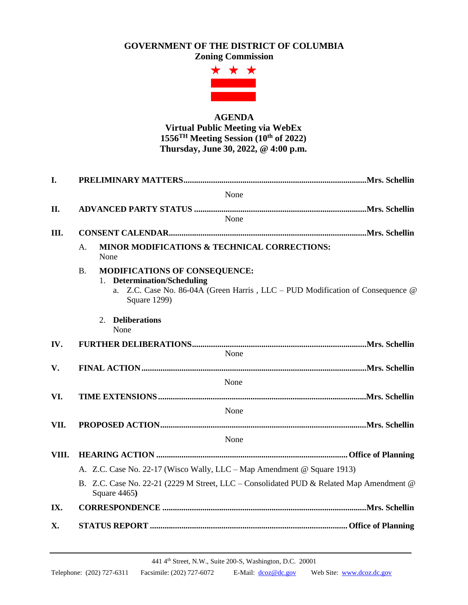## **GOVERNMENT OF THE DISTRICT OF COLUMBIA**

**Zoning Commission**



## **AGENDA Virtual Public Meeting via WebEx 1556 TH Meeting Session (10 th of 2022) Thursday, June 30, 2022, @ 4:00 p.m.**

| I.    |                                                                                                                                                                                        |  |
|-------|----------------------------------------------------------------------------------------------------------------------------------------------------------------------------------------|--|
|       | None                                                                                                                                                                                   |  |
| II.   |                                                                                                                                                                                        |  |
|       | None                                                                                                                                                                                   |  |
| III.  |                                                                                                                                                                                        |  |
|       | MINOR MODIFICATIONS & TECHNICAL CORRECTIONS:<br>A.<br>None                                                                                                                             |  |
|       | <b>MODIFICATIONS OF CONSEQUENCE:</b><br><b>B.</b><br><b>Determination/Scheduling</b><br>a. Z.C. Case No. 86-04A (Green Harris, LLC – PUD Modification of Consequence @<br>Square 1299) |  |
|       | 2. Deliberations<br>None                                                                                                                                                               |  |
| IV.   |                                                                                                                                                                                        |  |
|       | None                                                                                                                                                                                   |  |
| V.    |                                                                                                                                                                                        |  |
|       | None                                                                                                                                                                                   |  |
| VI.   |                                                                                                                                                                                        |  |
| None  |                                                                                                                                                                                        |  |
| VII.  |                                                                                                                                                                                        |  |
|       | None                                                                                                                                                                                   |  |
| VIII. |                                                                                                                                                                                        |  |
|       | A. Z.C. Case No. 22-17 (Wisco Wally, LLC – Map Amendment @ Square 1913)                                                                                                                |  |
|       | B. Z.C. Case No. 22-21 (2229 M Street, LLC – Consolidated PUD & Related Map Amendment @<br>Square 4465)                                                                                |  |
| IX.   |                                                                                                                                                                                        |  |
| X.    |                                                                                                                                                                                        |  |

441 4th Street, N.W., Suite 200-S, Washington, D.C. 20001